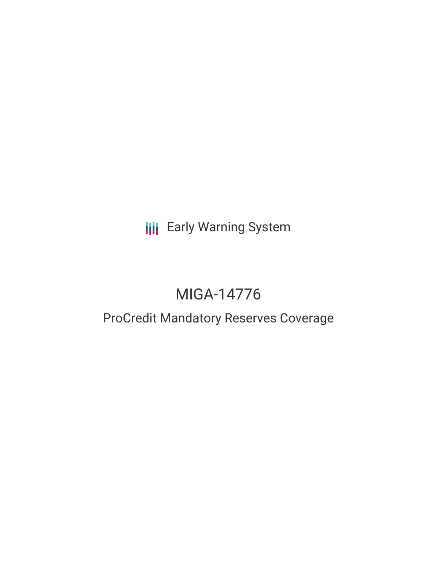**III** Early Warning System

# MIGA-14776

## ProCredit Mandatory Reserves Coverage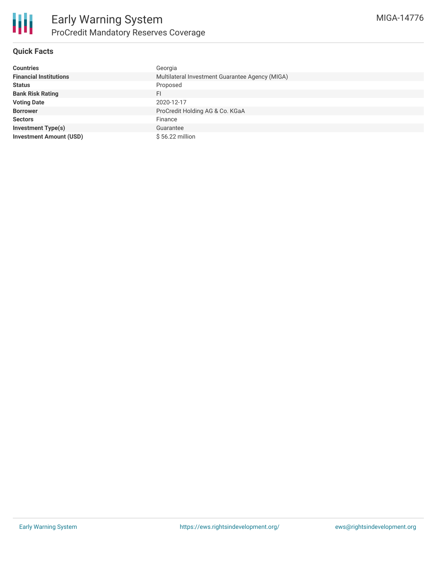

#### **Quick Facts**

| <b>Countries</b>               | Georgia                                         |
|--------------------------------|-------------------------------------------------|
| <b>Financial Institutions</b>  | Multilateral Investment Guarantee Agency (MIGA) |
| <b>Status</b>                  | Proposed                                        |
| <b>Bank Risk Rating</b>        | FI                                              |
| <b>Voting Date</b>             | 2020-12-17                                      |
| <b>Borrower</b>                | ProCredit Holding AG & Co. KGaA                 |
| <b>Sectors</b>                 | Finance                                         |
| <b>Investment Type(s)</b>      | Guarantee                                       |
| <b>Investment Amount (USD)</b> | $$56.22$ million                                |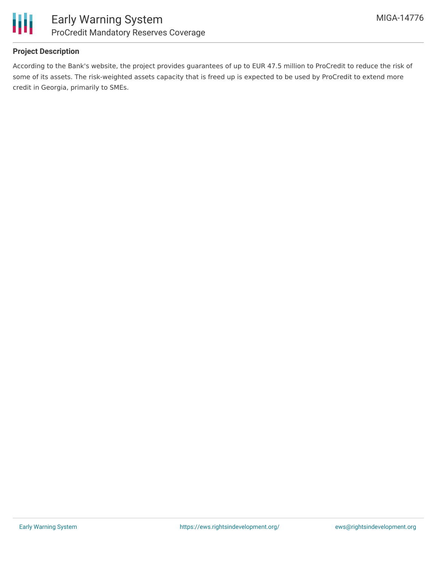

#### **Project Description**

According to the Bank's website, the project provides guarantees of up to EUR 47.5 million to ProCredit to reduce the risk of some of its assets. The risk-weighted assets capacity that is freed up is expected to be used by ProCredit to extend more credit in Georgia, primarily to SMEs.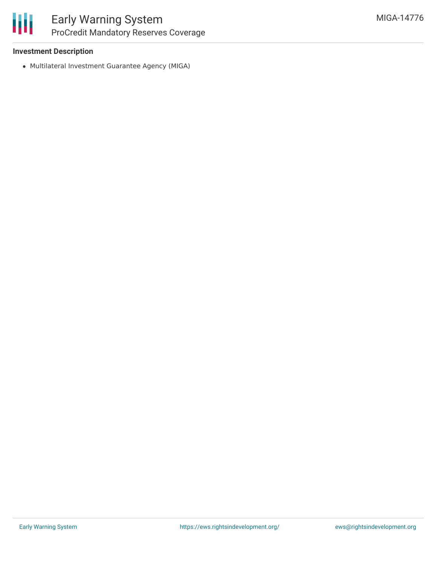#### **Investment Description**

Multilateral Investment Guarantee Agency (MIGA)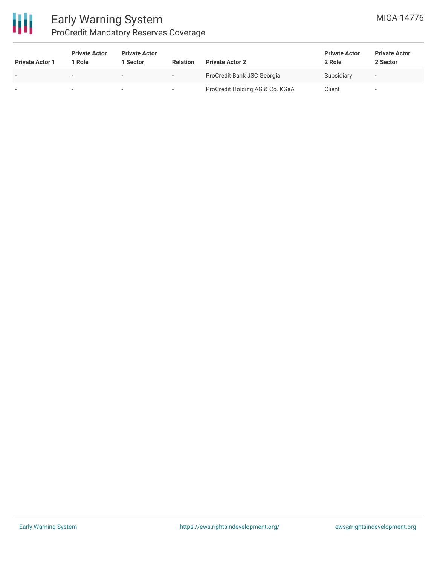

### Early Warning System ProCredit Mandatory Reserves Coverage

| <b>Private Actor 1</b>   | <b>Private Actor</b><br>1 Role | <b>Private Actor</b><br>1 Sector | <b>Relation</b> | <b>Private Actor 2</b>          | <b>Private Actor</b><br>2 Role | <b>Private Actor</b><br>2 Sector |
|--------------------------|--------------------------------|----------------------------------|-----------------|---------------------------------|--------------------------------|----------------------------------|
| $\overline{\phantom{0}}$ | $\overline{\phantom{0}}$       | $\overline{\phantom{0}}$         |                 | ProCredit Bank JSC Georgia      | Subsidiary                     | $\overline{\phantom{a}}$         |
|                          |                                |                                  |                 | ProCredit Holding AG & Co. KGaA | Client                         |                                  |